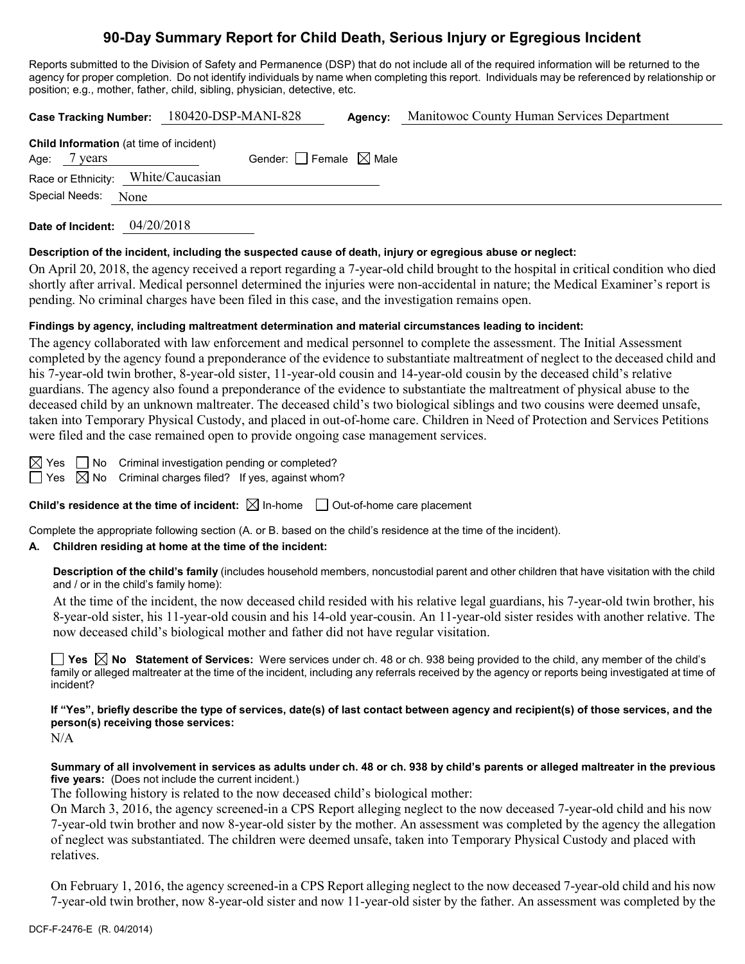# **90-Day Summary Report for Child Death, Serious Injury or Egregious Incident**

Reports submitted to the Division of Safety and Permanence (DSP) that do not include all of the required information will be returned to the agency for proper completion. Do not identify individuals by name when completing this report. Individuals may be referenced by relationship or position; e.g., mother, father, child, sibling, physician, detective, etc.

|                                                                |      | Case Tracking Number: 180420-DSP-MANI-828 |                                 | Agency: | Manitowoc County Human Services Department |  |
|----------------------------------------------------------------|------|-------------------------------------------|---------------------------------|---------|--------------------------------------------|--|
| <b>Child Information</b> (at time of incident)<br>Age: 7 years |      |                                           | Gender: Female $\boxtimes$ Male |         |                                            |  |
| Race or Ethnicity: White/Caucasian                             |      |                                           |                                 |         |                                            |  |
| Special Needs:                                                 | None |                                           |                                 |         |                                            |  |
|                                                                |      |                                           |                                 |         |                                            |  |

**Date of Incident:** 04/20/2018

### **Description of the incident, including the suspected cause of death, injury or egregious abuse or neglect:**

On April 20, 2018, the agency received a report regarding a 7-year-old child brought to the hospital in critical condition who died shortly after arrival. Medical personnel determined the injuries were non-accidental in nature; the Medical Examiner's report is pending. No criminal charges have been filed in this case, and the investigation remains open.

### **Findings by agency, including maltreatment determination and material circumstances leading to incident:**

The agency collaborated with law enforcement and medical personnel to complete the assessment. The Initial Assessment completed by the agency found a preponderance of the evidence to substantiate maltreatment of neglect to the deceased child and his 7-year-old twin brother, 8-year-old sister, 11-year-old cousin and 14-year-old cousin by the deceased child's relative guardians. The agency also found a preponderance of the evidence to substantiate the maltreatment of physical abuse to the deceased child by an unknown maltreater. The deceased child's two biological siblings and two cousins were deemed unsafe, taken into Temporary Physical Custody, and placed in out-of-home care. Children in Need of Protection and Services Petitions were filed and the case remained open to provide ongoing case management services.

 $\boxtimes$  Yes  $\Box$  No Criminal investigation pending or completed?  $\Box$  Yes  $\boxtimes$  No Criminal charges filed? If yes, against whom?

**Child's residence at the time of incident:**  $\boxtimes$  In-home  $\Box$  Out-of-home care placement

Complete the appropriate following section (A. or B. based on the child's residence at the time of the incident).

## **A. Children residing at home at the time of the incident:**

**Description of the child's family** (includes household members, noncustodial parent and other children that have visitation with the child and / or in the child's family home):

At the time of the incident, the now deceased child resided with his relative legal guardians, his 7-year-old twin brother, his 8-year-old sister, his 11-year-old cousin and his 14-old year-cousin. An 11-year-old sister resides with another relative. The now deceased child's biological mother and father did not have regular visitation.

**Yes No Statement of Services:** Were services under ch. 48 or ch. 938 being provided to the child, any member of the child's family or alleged maltreater at the time of the incident, including any referrals received by the agency or reports being investigated at time of incident?

**If "Yes", briefly describe the type of services, date(s) of last contact between agency and recipient(s) of those services, and the person(s) receiving those services:**

N/A

**Summary of all involvement in services as adults under ch. 48 or ch. 938 by child's parents or alleged maltreater in the previous five years:** (Does not include the current incident.)

The following history is related to the now deceased child's biological mother:

On March 3, 2016, the agency screened-in a CPS Report alleging neglect to the now deceased 7-year-old child and his now 7-year-old twin brother and now 8-year-old sister by the mother. An assessment was completed by the agency the allegation of neglect was substantiated. The children were deemed unsafe, taken into Temporary Physical Custody and placed with relatives.

On February 1, 2016, the agency screened-in a CPS Report alleging neglect to the now deceased 7-year-old child and his now 7-year-old twin brother, now 8-year-old sister and now 11-year-old sister by the father. An assessment was completed by the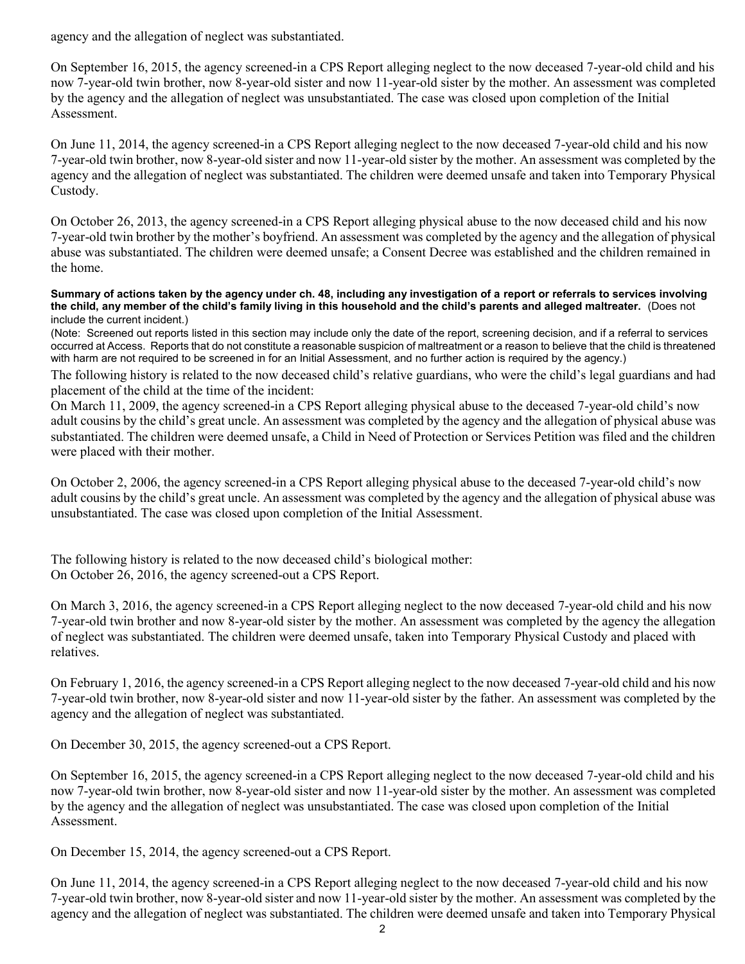agency and the allegation of neglect was substantiated.

On September 16, 2015, the agency screened-in a CPS Report alleging neglect to the now deceased 7-year-old child and his now 7-year-old twin brother, now 8-year-old sister and now 11-year-old sister by the mother. An assessment was completed by the agency and the allegation of neglect was unsubstantiated. The case was closed upon completion of the Initial Assessment.

On June 11, 2014, the agency screened-in a CPS Report alleging neglect to the now deceased 7-year-old child and his now 7-year-old twin brother, now 8-year-old sister and now 11-year-old sister by the mother. An assessment was completed by the agency and the allegation of neglect was substantiated. The children were deemed unsafe and taken into Temporary Physical Custody.

On October 26, 2013, the agency screened-in a CPS Report alleging physical abuse to the now deceased child and his now 7-year-old twin brother by the mother's boyfriend. An assessment was completed by the agency and the allegation of physical abuse was substantiated. The children were deemed unsafe; a Consent Decree was established and the children remained in the home.

#### **Summary of actions taken by the agency under ch. 48, including any investigation of a report or referrals to services involving the child, any member of the child's family living in this household and the child's parents and alleged maltreater.** (Does not include the current incident.)

(Note: Screened out reports listed in this section may include only the date of the report, screening decision, and if a referral to services occurred at Access. Reports that do not constitute a reasonable suspicion of maltreatment or a reason to believe that the child is threatened with harm are not required to be screened in for an Initial Assessment, and no further action is required by the agency.)

The following history is related to the now deceased child's relative guardians, who were the child's legal guardians and had placement of the child at the time of the incident:

On March 11, 2009, the agency screened-in a CPS Report alleging physical abuse to the deceased 7-year-old child's now adult cousins by the child's great uncle. An assessment was completed by the agency and the allegation of physical abuse was substantiated. The children were deemed unsafe, a Child in Need of Protection or Services Petition was filed and the children were placed with their mother.

On October 2, 2006, the agency screened-in a CPS Report alleging physical abuse to the deceased 7-year-old child's now adult cousins by the child's great uncle. An assessment was completed by the agency and the allegation of physical abuse was unsubstantiated. The case was closed upon completion of the Initial Assessment.

The following history is related to the now deceased child's biological mother: On October 26, 2016, the agency screened-out a CPS Report.

On March 3, 2016, the agency screened-in a CPS Report alleging neglect to the now deceased 7-year-old child and his now 7-year-old twin brother and now 8-year-old sister by the mother. An assessment was completed by the agency the allegation of neglect was substantiated. The children were deemed unsafe, taken into Temporary Physical Custody and placed with relatives.

On February 1, 2016, the agency screened-in a CPS Report alleging neglect to the now deceased 7-year-old child and his now 7-year-old twin brother, now 8-year-old sister and now 11-year-old sister by the father. An assessment was completed by the agency and the allegation of neglect was substantiated.

On December 30, 2015, the agency screened-out a CPS Report.

On September 16, 2015, the agency screened-in a CPS Report alleging neglect to the now deceased 7-year-old child and his now 7-year-old twin brother, now 8-year-old sister and now 11-year-old sister by the mother. An assessment was completed by the agency and the allegation of neglect was unsubstantiated. The case was closed upon completion of the Initial Assessment.

On December 15, 2014, the agency screened-out a CPS Report.

On June 11, 2014, the agency screened-in a CPS Report alleging neglect to the now deceased 7-year-old child and his now 7-year-old twin brother, now 8-year-old sister and now 11-year-old sister by the mother. An assessment was completed by the agency and the allegation of neglect was substantiated. The children were deemed unsafe and taken into Temporary Physical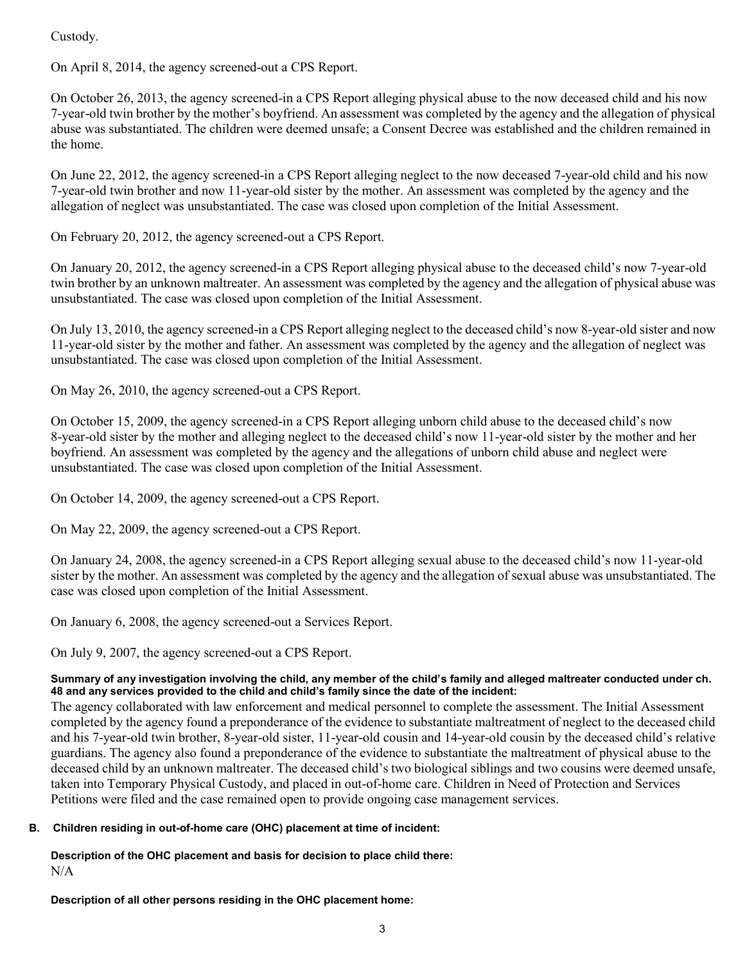Custody.

On April 8, 2014, the agency screened-out a CPS Report.

On October 26, 2013, the agency screened-in a CPS Report alleging physical abuse to the now deceased child and his now 7-year-old twin brother by the mother's boyfriend. An assessment was completed by the agency and the allegation of physical abuse was substantiated. The children were deemed unsafe; a Consent Decree was established and the children remained in the home.

On June 22, 2012, the agency screened-in a CPS Report alleging neglect to the now deceased 7-year-old child and his now 7-year-old twin brother and now 11-year-old sister by the mother. An assessment was completed by the agency and the allegation of neglect was unsubstantiated. The case was closed upon completion of the Initial Assessment.

On February 20, 2012, the agency screened-out a CPS Report.

On January 20, 2012, the agency screened-in a CPS Report alleging physical abuse to the deceased child's now 7-year-old twin brother by an unknown maltreater. An assessment was completed by the agency and the allegation of physical abuse was unsubstantiated. The case was closed upon completion of the Initial Assessment.

On July 13, 2010, the agency screened-in a CPS Report alleging neglect to the deceased child's now 8-year-old sister and now 11-year-old sister by the mother and father. An assessment was completed by the agency and the allegation of neglect was unsubstantiated. The case was closed upon completion of the Initial Assessment.

On May 26, 2010, the agency screened-out a CPS Report.

On October 15, 2009, the agency screened-in a CPS Report alleging unborn child abuse to the deceased child's now 8-year-old sister by the mother and alleging neglect to the deceased child's now 11-year-old sister by the mother and her boyfriend. An assessment was completed by the agency and the allegations of unborn child abuse and neglect were unsubstantiated. The case was closed upon completion of the Initial Assessment.

On October 14, 2009, the agency screened-out a CPS Report.

On May 22, 2009, the agency screened-out a CPS Report.

On January 24, 2008, the agency screened-in a CPS Report alleging sexual abuse to the deceased child's now 11-year-old sister by the mother. An assessment was completed by the agency and the allegation of sexual abuse was unsubstantiated. The case was closed upon completion of the Initial Assessment.

On January 6, 2008, the agency screened-out a Services Report.

On July 9, 2007, the agency screened-out a CPS Report.

## **Summary of any investigation involving the child, any member of the child's family and alleged maltreater conducted under ch. 48 and any services provided to the child and child's family since the date of the incident:**

The agency collaborated with law enforcement and medical personnel to complete the assessment. The Initial Assessment completed by the agency found a preponderance of the evidence to substantiate maltreatment of neglect to the deceased child and his 7-year-old twin brother, 8-year-old sister, 11-year-old cousin and 14-year-old cousin by the deceased child's relative guardians. The agency also found a preponderance of the evidence to substantiate the maltreatment of physical abuse to the deceased child by an unknown maltreater. The deceased child's two biological siblings and two cousins were deemed unsafe, taken into Temporary Physical Custody, and placed in out-of-home care. Children in Need of Protection and Services Petitions were filed and the case remained open to provide ongoing case management services.

## **B. Children residing in out-of-home care (OHC) placement at time of incident:**

**Description of the OHC placement and basis for decision to place child there:** N/A

**Description of all other persons residing in the OHC placement home:**